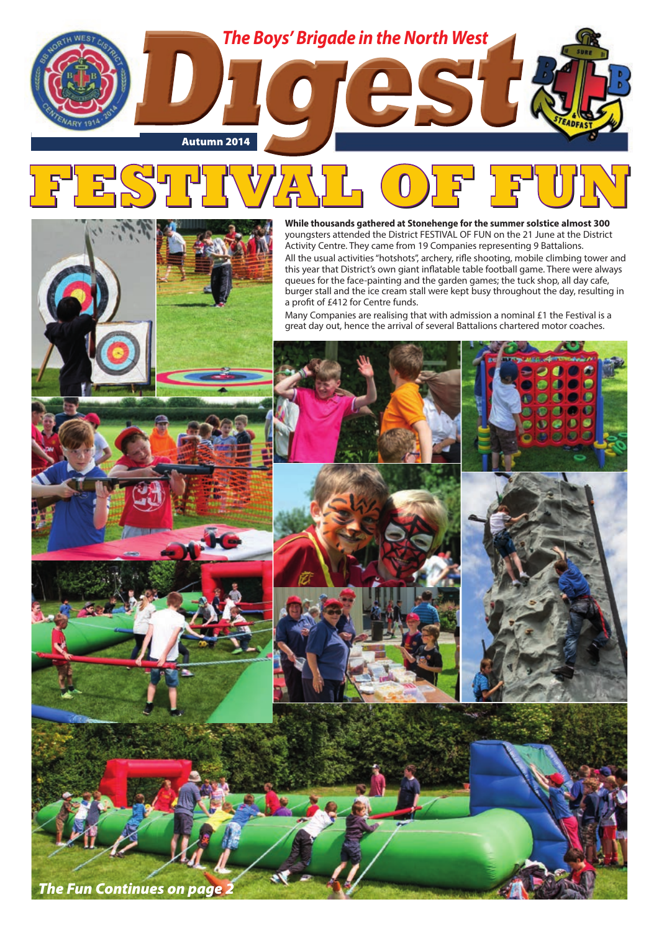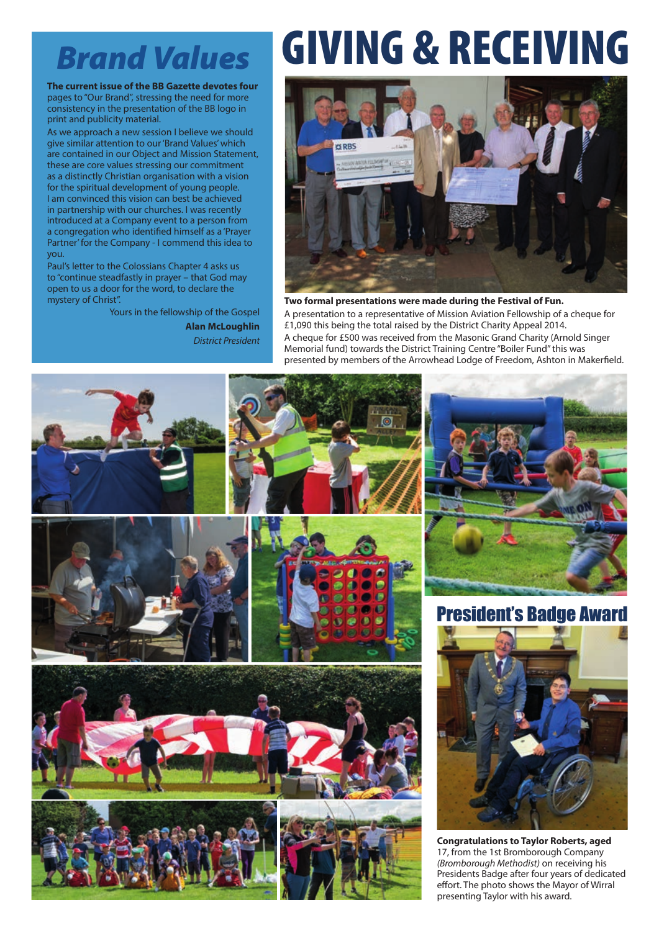**The current issue of the BB Gazette devotes four**  pages to "Our Brand", stressing the need for more consistency in the presentation of the BB logo in print and publicity material.

As we approach a new session I believe we should give similar attention to our 'Brand Values' which are contained in our Object and Mission Statement, these are core values stressing our commitment as a distinctly Christian organisation with a vision for the spiritual development of young people. I am convinced this vision can best be achieved in partnership with our churches. I was recently introduced at a Company event to a person from a congregation who identified himself as a 'Prayer Partner' for the Company - I commend this idea to you.

Paul's letter to the Colossians Chapter 4 asks us to "continue steadfastly in prayer – that God may open to us a door for the word, to declare the mystery of Christ".

> Yours in the fellowship of the Gospel **Alan McLoughlin** *District President*

# *Brand Values* GIVING & RECEIVING



**Two formal presentations were made during the Festival of Fun.** A presentation to a representative of Mission Aviation Fellowship of a cheque for £1,090 this being the total raised by the District Charity Appeal 2014. A cheque for £500 was received from the Masonic Grand Charity (Arnold Singer Memorial fund) towards the District Training Centre "Boiler Fund" this was presented by members of the Arrowhead Lodge of Freedom, Ashton in Makerfield.

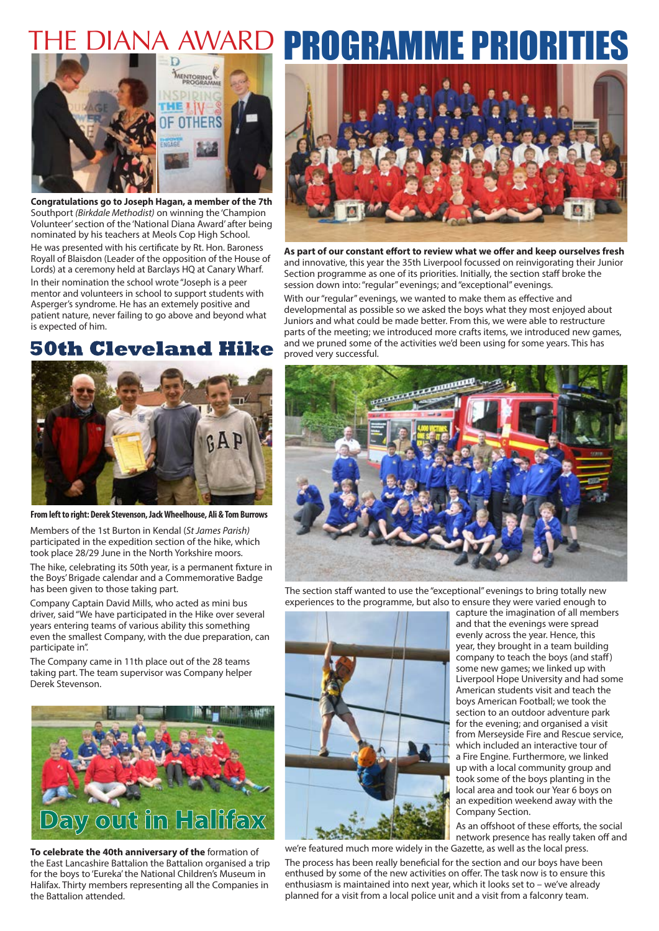

**Congratulations go to Joseph Hagan, a member of the 7th** Southport *(Birkdale Methodist)* on winning the 'Champion Volunteer' section of the 'National Diana Award' after being nominated by his teachers at Meols Cop High School. He was presented with his certificate by Rt. Hon. Baroness Royall of Blaisdon (Leader of the opposition of the House of Lords) at a ceremony held at Barclays HQ at Canary Wharf. In their nomination the school wrote "Joseph is a peer mentor and volunteers in school to support students with Asperger's syndrome. He has an extemely positive and patient nature, never failing to go above and beyond what is expected of him.

## **50th Cleveland Hike**



**From left to right: Derek Stevenson, Jack Wheelhouse, Ali & Tom Burrows**

Members of the 1st Burton in Kendal (*St James Parish)* participated in the expedition section of the hike, which took place 28/29 June in the North Yorkshire moors.

The hike, celebrating its 50th year, is a permanent fixture in the Boys' Brigade calendar and a Commemorative Badge has been given to those taking part.

Company Captain David Mills, who acted as mini bus driver, said "We have participated in the Hike over several years entering teams of various ability this something even the smallest Company, with the due preparation, can participate in".

The Company came in 11th place out of the 28 teams taking part. The team supervisor was Company helper Derek Stevenson.



**To celebrate the 40th anniversary of the** formation of the East Lancashire Battalion the Battalion organised a trip for the boys to 'Eureka' the National Children's Museum in Halifax. Thirty members representing all the Companies in the Battalion attended.

# THE DIANA AWARD PROGRAMME PRIORITIES



**As part of our constant effort to review what we offer and keep ourselves fresh**  and innovative, this year the 35th Liverpool focussed on reinvigorating their Junior Section programme as one of its priorities. Initially, the section staff broke the session down into: "regular" evenings; and "exceptional" evenings.

With our "regular" evenings, we wanted to make them as effective and developmental as possible so we asked the boys what they most enjoyed about Juniors and what could be made better. From this, we were able to restructure parts of the meeting; we introduced more crafts items, we introduced new games, and we pruned some of the activities we'd been using for some years. This has proved very successful.



The section staff wanted to use the "exceptional" evenings to bring totally new experiences to the programme, but also to ensure they were varied enough to



we're featured much more widely in the Gazette, as well as the local press.

capture the imagination of all members and that the evenings were spread evenly across the year. Hence, this year, they brought in a team building company to teach the boys (and staff) some new games; we linked up with Liverpool Hope University and had some American students visit and teach the boys American Football; we took the section to an outdoor adventure park for the evening; and organised a visit from Merseyside Fire and Rescue service, which included an interactive tour of a Fire Engine. Furthermore, we linked up with a local community group and took some of the boys planting in the local area and took our Year 6 boys on an expedition weekend away with the Company Section.

As an offshoot of these efforts, the social network presence has really taken off and

The process has been really beneficial for the section and our boys have been enthused by some of the new activities on offer. The task now is to ensure this enthusiasm is maintained into next year, which it looks set to – we've already planned for a visit from a local police unit and a visit from a falconry team.